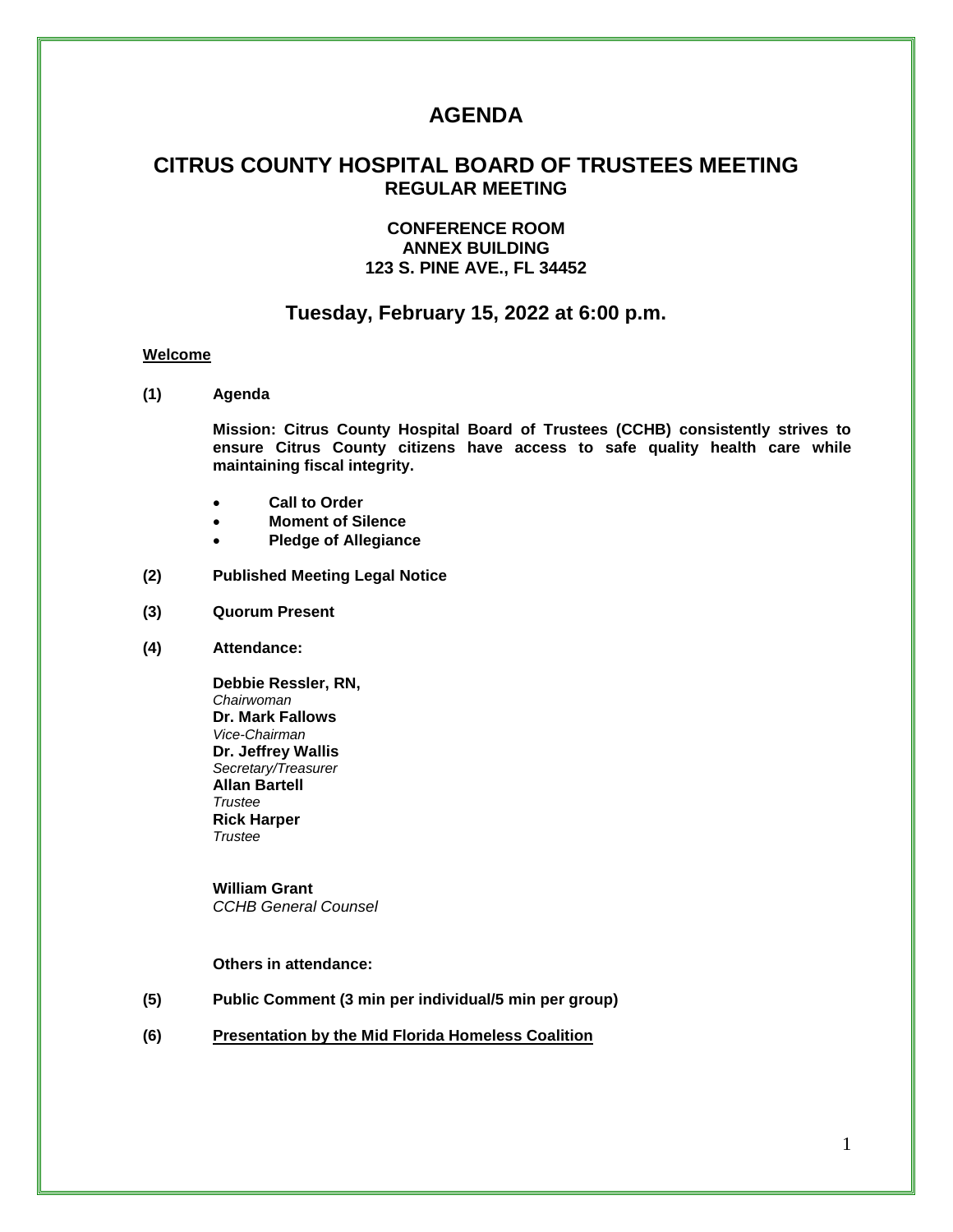# **AGENDA**

## **CITRUS COUNTY HOSPITAL BOARD OF TRUSTEES MEETING REGULAR MEETING**

## **CONFERENCE ROOM ANNEX BUILDING 123 S. PINE AVE., FL 34452**

## **Tuesday, February 15, 2022 at 6:00 p.m.**

#### **Welcome**

**(1) Agenda**

**Mission: Citrus County Hospital Board of Trustees (CCHB) consistently strives to ensure Citrus County citizens have access to safe quality health care while maintaining fiscal integrity.**

- **Call to Order**
- **Moment of Silence**
- **Pledge of Allegiance**
- **(2) Published Meeting Legal Notice**
- **(3) Quorum Present**
- **(4) Attendance:**

**Debbie Ressler, RN,** *Chairwoman* **Dr. Mark Fallows** *Vice-Chairman* **Dr. Jeffrey Wallis** *Secretary/Treasurer* **Allan Bartell** *Trustee* **Rick Harper** *Trustee*

**William Grant** *CCHB General Counsel*

#### **Others in attendance:**

- **(5) Public Comment (3 min per individual/5 min per group)**
- **(6) Presentation by the Mid Florida Homeless Coalition**